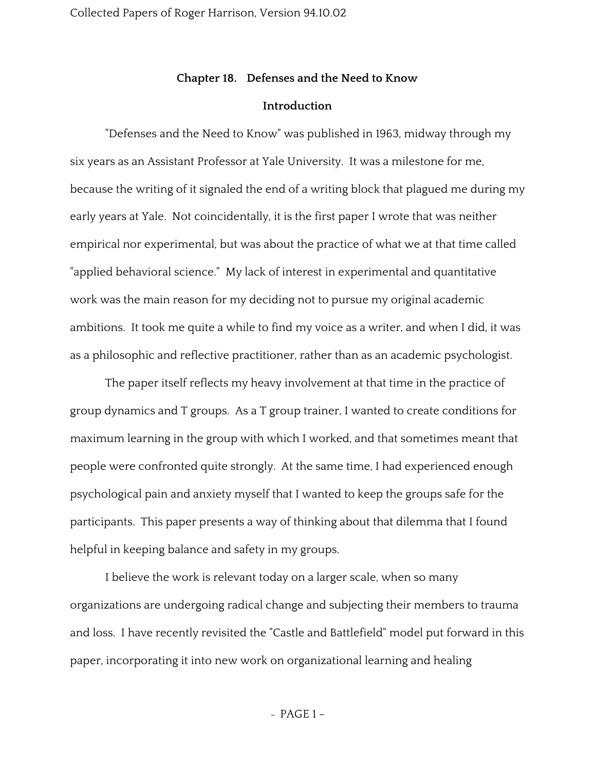# **Chapter 18. Defenses and the Need to Know**

## **Introduction**

"Defenses and the Need to Know" was published in 1963, midway through my six years as an Assistant Professor at Yale University. It was a milestone for me, because the writing of it signaled the end of a writing block that plagued me during my early years at Yale. Not coincidentally, it is the first paper I wrote that was neither empirical nor experimental, but was about the practice of what we at that time called "applied behavioral science." My lack of interest in experimental and quantitative work was the main reason for my deciding not to pursue my original academic ambitions. It took me quite a while to find my voice as a writer, and when I did, it was as a philosophic and reflective practitioner, rather than as an academic psychologist.

The paper itself reflects my heavy involvement at that time in the practice of group dynamics and T groups. As a T group trainer, I wanted to create conditions for maximum learning in the group with which I worked, and that sometimes meant that people were confronted quite strongly. At the same time, I had experienced enough psychological pain and anxiety myself that I wanted to keep the groups safe for the participants. This paper presents a way of thinking about that dilemma that I found helpful in keeping balance and safety in my groups.

I believe the work is relevant today on a larger scale, when so many organizations are undergoing radical change and subjecting their members to trauma and loss. I have recently revisited the "Castle and Battlefield" model put forward in this paper, incorporating it into new work on organizational learning and healing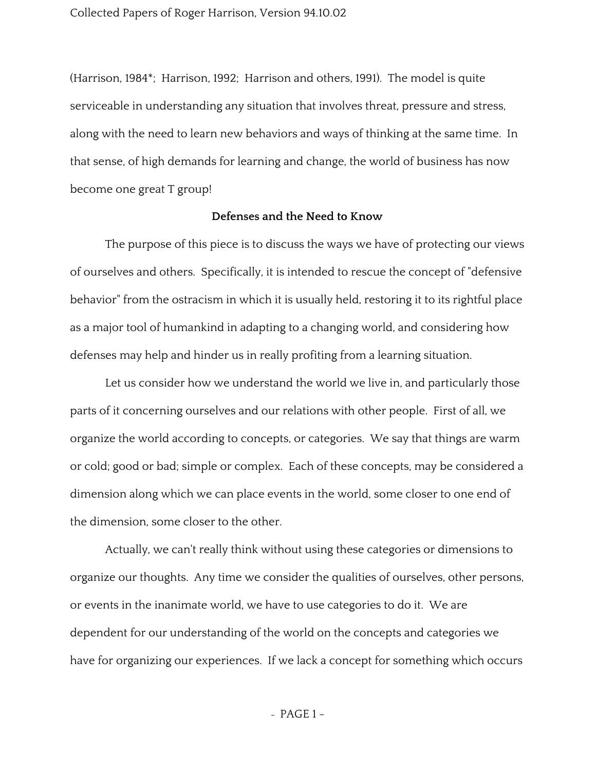(Harrison, 1984\*; Harrison, 1992; Harrison and others, 1991). The model is quite serviceable in understanding any situation that involves threat, pressure and stress, along with the need to learn new behaviors and ways of thinking at the same time. In that sense, of high demands for learning and change, the world of business has now become one great T group!

### **Defenses and the Need to Know**

The purpose of this piece is to discuss the ways we have of protecting our views of ourselves and others. Specifically, it is intended to rescue the concept of "defensive behavior" from the ostracism in which it is usually held, restoring it to its rightful place as a major tool of humankind in adapting to a changing world, and considering how defenses may help and hinder us in really profiting from a learning situation.

Let us consider how we understand the world we live in, and particularly those parts of it concerning ourselves and our relations with other people. First of all, we organize the world according to concepts, or categories. We say that things are warm or cold; good or bad; simple or complex. Each of these concepts, may be considered a dimension along which we can place events in the world, some closer to one end of the dimension, some closer to the other.

Actually, we can't really think without using these categories or dimensions to organize our thoughts. Any time we consider the qualities of ourselves, other persons, or events in the inanimate world, we have to use categories to do it. We are dependent for our understanding of the world on the concepts and categories we have for organizing our experiences. If we lack a concept for something which occurs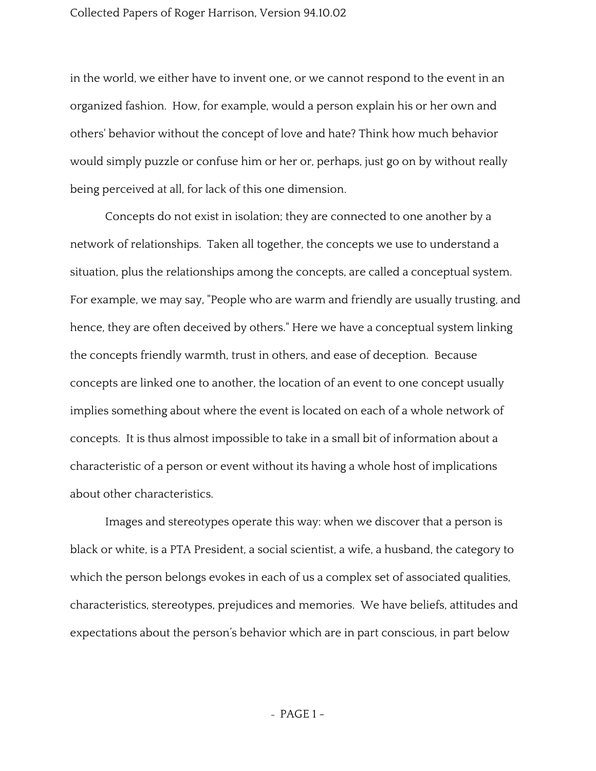in the world, we either have to invent one, or we cannot respond to the event in an organized fashion. How, for example, would a person explain his or her own and others' behavior without the concept of love and hate? Think how much behavior would simply puzzle or confuse him or her or, perhaps, just go on by without really being perceived at all, for lack of this one dimension.

Concepts do not exist in isolation; they are connected to one another by a network of relationships. Taken all together, the concepts we use to understand a situation, plus the relationships among the concepts, are called a conceptual system. For example, we may say, "People who are warm and friendly are usually trusting, and hence, they are often deceived by others." Here we have a conceptual system linking the concepts friendly warmth, trust in others, and ease of deception. Because concepts are linked one to another, the location of an event to one concept usually implies something about where the event is located on each of a whole network of concepts. It is thus almost impossible to take in a small bit of information about a characteristic of a person or event without its having a whole host of implications about other characteristics.

Images and stereotypes operate this way: when we discover that a person is black or white, is a PTA President, a social scientist, a wife, a husband, the category to which the person belongs evokes in each of us a complex set of associated qualities, characteristics, stereotypes, prejudices and memories. We have beliefs, attitudes and expectations about the person's behavior which are in part conscious, in part below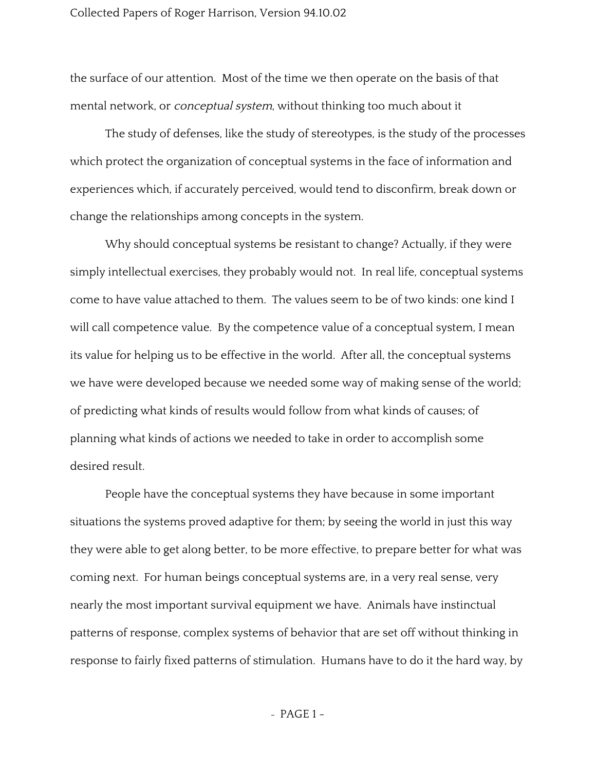the surface of our attention. Most of the time we then operate on the basis of that mental network, or *conceptual system*, without thinking too much about it

The study of defenses, like the study of stereotypes, is the study of the processes which protect the organization of conceptual systems in the face of information and experiences which, if accurately perceived, would tend to disconfirm, break down or change the relationships among concepts in the system.

Why should conceptual systems be resistant to change? Actually, if they were simply intellectual exercises, they probably would not. In real life, conceptual systems come to have value attached to them. The values seem to be of two kinds: one kind I will call competence value. By the competence value of a conceptual system, I mean its value for helping us to be effective in the world. After all, the conceptual systems we have were developed because we needed some way of making sense of the world; of predicting what kinds of results would follow from what kinds of causes; of planning what kinds of actions we needed to take in order to accomplish some desired result.

People have the conceptual systems they have because in some important situations the systems proved adaptive for them; by seeing the world in just this way they were able to get along better, to be more effective, to prepare better for what was coming next. For human beings conceptual systems are, in a very real sense, very nearly the most important survival equipment we have. Animals have instinctual patterns of response, complex systems of behavior that are set off without thinking in response to fairly fixed patterns of stimulation. Humans have to do it the hard way, by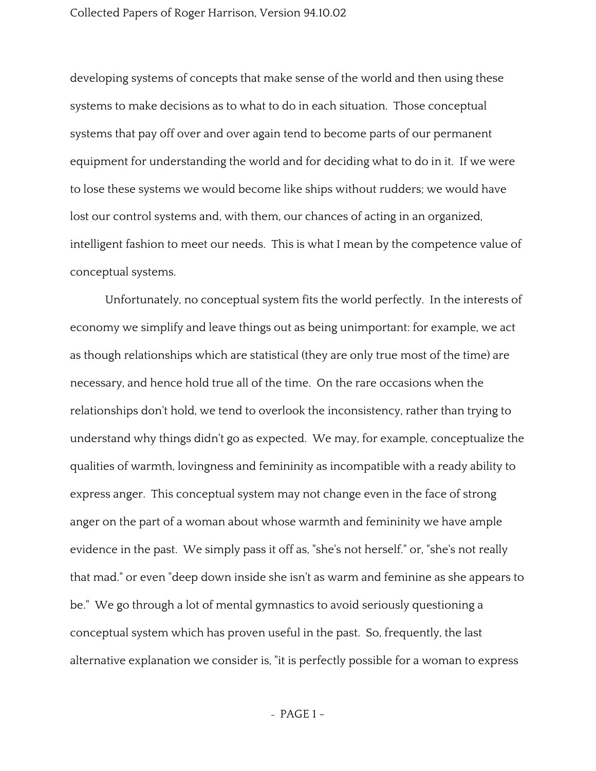developing systems of concepts that make sense of the world and then using these systems to make decisions as to what to do in each situation. Those conceptual systems that pay off over and over again tend to become parts of our permanent equipment for understanding the world and for deciding what to do in it. If we were to lose these systems we would become like ships without rudders; we would have lost our control systems and, with them, our chances of acting in an organized, intelligent fashion to meet our needs. This is what I mean by the competence value of conceptual systems.

Unfortunately, no conceptual system fits the world perfectly. In the interests of economy we simplify and leave things out as being unimportant: for example, we act as though relationships which are statistical (they are only true most of the time) are necessary, and hence hold true all of the time. On the rare occasions when the relationships don't hold, we tend to overlook the inconsistency, rather than trying to understand why things didn't go as expected. We may, for example, conceptualize the qualities of warmth, lovingness and femininity as incompatible with a ready ability to express anger. This conceptual system may not change even in the face of strong anger on the part of a woman about whose warmth and femininity we have ample evidence in the past. We simply pass it off as, "she's not herself." or, "she's not really that mad." or even "deep down inside she isn't as warm and feminine as she appears to be." We go through a lot of mental gymnastics to avoid seriously questioning a conceptual system which has proven useful in the past. So, frequently, the last alternative explanation we consider is, "it is perfectly possible for a woman to express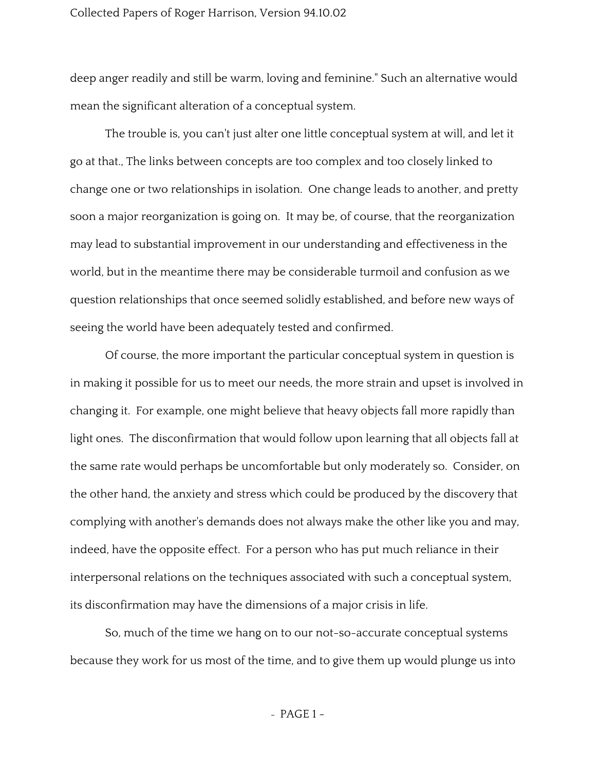deep anger readily and still be warm, loving and feminine." Such an alternative would mean the significant alteration of a conceptual system.

The trouble is, you can't just alter one little conceptual system at will, and let it go at that., The links between concepts are too complex and too closely linked to change one or two relationships in isolation. One change leads to another, and pretty soon a major reorganization is going on. It may be, of course, that the reorganization may lead to substantial improvement in our understanding and effectiveness in the world, but in the meantime there may be considerable turmoil and confusion as we question relationships that once seemed solidly established, and before new ways of seeing the world have been adequately tested and confirmed.

Of course, the more important the particular conceptual system in question is in making it possible for us to meet our needs, the more strain and upset is involved in changing it. For example, one might believe that heavy objects fall more rapidly than light ones. The disconfirmation that would follow upon learning that all objects fall at the same rate would perhaps be uncomfortable but only moderately so. Consider, on the other hand, the anxiety and stress which could be produced by the discovery that complying with another's demands does not always make the other like you and may, indeed, have the opposite effect. For a person who has put much reliance in their interpersonal relations on the techniques associated with such a conceptual system, its disconfirmation may have the dimensions of a major crisis in life.

So, much of the time we hang on to our not-so-accurate conceptual systems because they work for us most of the time, and to give them up would plunge us into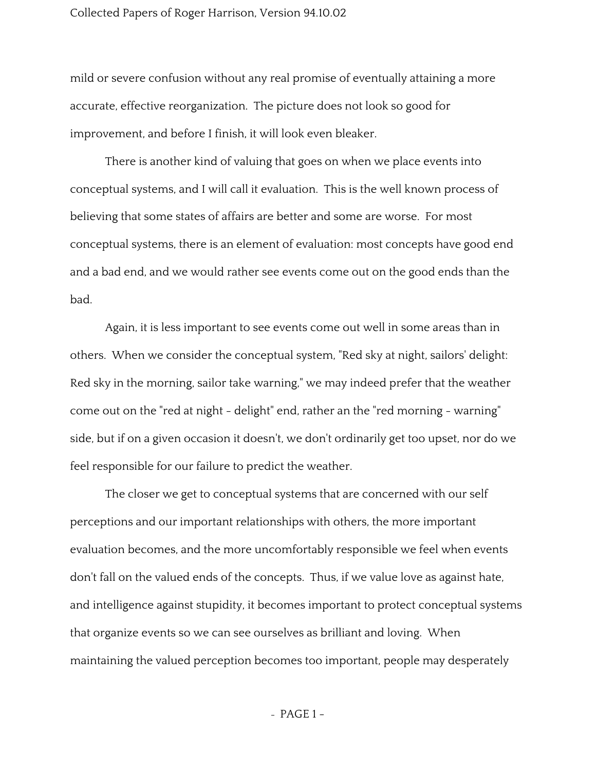mild or severe confusion without any real promise of eventually attaining a more accurate, effective reorganization. The picture does not look so good for improvement, and before I finish, it will look even bleaker.

There is another kind of valuing that goes on when we place events into conceptual systems, and I will call it evaluation. This is the well known process of believing that some states of affairs are better and some are worse. For most conceptual systems, there is an element of evaluation: most concepts have good end and a bad end, and we would rather see events come out on the good ends than the bad.

Again, it is less important to see events come out well in some areas than in others. When we consider the conceptual system, "Red sky at night, sailors' delight: Red sky in the morning, sailor take warning," we may indeed prefer that the weather come out on the "red at night - delight" end, rather an the "red morning - warning" side, but if on a given occasion it doesn't, we don't ordinarily get too upset, nor do we feel responsible for our failure to predict the weather.

The closer we get to conceptual systems that are concerned with our self perceptions and our important relationships with others, the more important evaluation becomes, and the more uncomfortably responsible we feel when events don't fall on the valued ends of the concepts. Thus, if we value love as against hate, and intelligence against stupidity, it becomes important to protect conceptual systems that organize events so we can see ourselves as brilliant and loving. When maintaining the valued perception becomes too important, people may desperately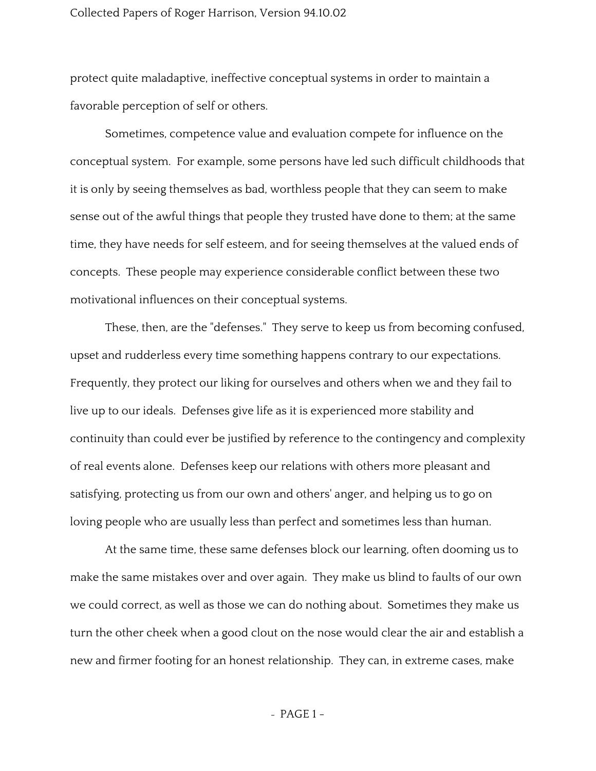protect quite maladaptive, ineffective conceptual systems in order to maintain a favorable perception of self or others.

Sometimes, competence value and evaluation compete for influence on the conceptual system. For example, some persons have led such difficult childhoods that it is only by seeing themselves as bad, worthless people that they can seem to make sense out of the awful things that people they trusted have done to them; at the same time, they have needs for self esteem, and for seeing themselves at the valued ends of concepts. These people may experience considerable conflict between these two motivational influences on their conceptual systems.

These, then, are the "defenses." They serve to keep us from becoming confused, upset and rudderless every time something happens contrary to our expectations. Frequently, they protect our liking for ourselves and others when we and they fail to live up to our ideals. Defenses give life as it is experienced more stability and continuity than could ever be justified by reference to the contingency and complexity of real events alone. Defenses keep our relations with others more pleasant and satisfying, protecting us from our own and others' anger, and helping us to go on loving people who are usually less than perfect and sometimes less than human.

At the same time, these same defenses block our learning, often dooming us to make the same mistakes over and over again. They make us blind to faults of our own we could correct, as well as those we can do nothing about. Sometimes they make us turn the other cheek when a good clout on the nose would clear the air and establish a new and firmer footing for an honest relationship. They can, in extreme cases, make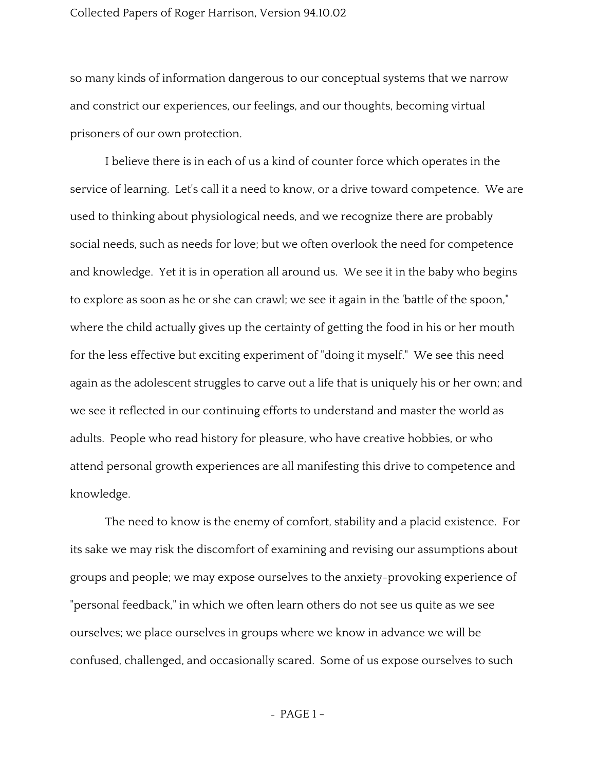so many kinds of information dangerous to our conceptual systems that we narrow and constrict our experiences, our feelings, and our thoughts, becoming virtual prisoners of our own protection.

I believe there is in each of us a kind of counter force which operates in the service of learning. Let's call it a need to know, or a drive toward competence. We are used to thinking about physiological needs, and we recognize there are probably social needs, such as needs for love; but we often overlook the need for competence and knowledge. Yet it is in operation all around us. We see it in the baby who begins to explore as soon as he or she can crawl; we see it again in the 'battle of the spoon," where the child actually gives up the certainty of getting the food in his or her mouth for the less effective but exciting experiment of "doing it myself." We see this need again as the adolescent struggles to carve out a life that is uniquely his or her own; and we see it reflected in our continuing efforts to understand and master the world as adults. People who read history for pleasure, who have creative hobbies, or who attend personal growth experiences are all manifesting this drive to competence and knowledge.

The need to know is the enemy of comfort, stability and a placid existence. For its sake we may risk the discomfort of examining and revising our assumptions about groups and people; we may expose ourselves to the anxiety-provoking experience of "personal feedback," in which we often learn others do not see us quite as we see ourselves; we place ourselves in groups where we know in advance we will be confused, challenged, and occasionally scared. Some of us expose ourselves to such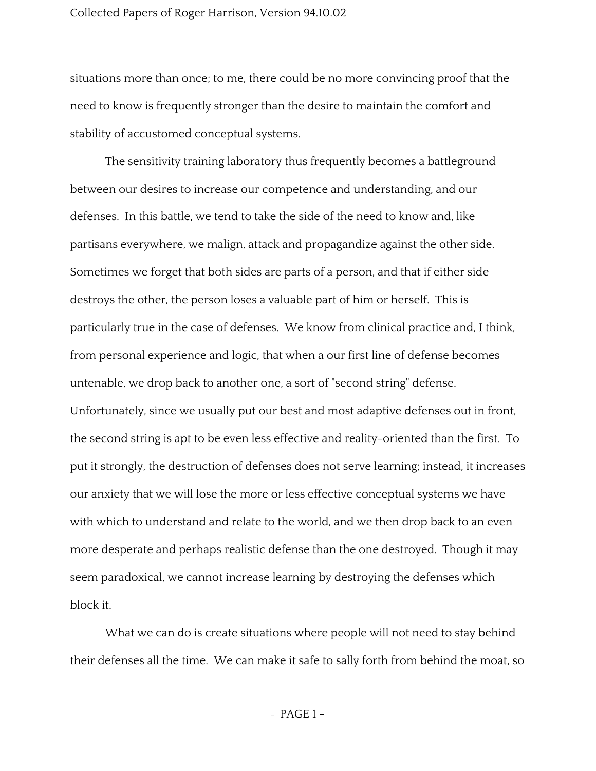situations more than once; to me, there could be no more convincing proof that the need to know is frequently stronger than the desire to maintain the comfort and stability of accustomed conceptual systems.

The sensitivity training laboratory thus frequently becomes a battleground between our desires to increase our competence and understanding, and our defenses. In this battle, we tend to take the side of the need to know and, like partisans everywhere, we malign, attack and propagandize against the other side. Sometimes we forget that both sides are parts of a person, and that if either side destroys the other, the person loses a valuable part of him or herself. This is particularly true in the case of defenses. We know from clinical practice and, I think, from personal experience and logic, that when a our first line of defense becomes untenable, we drop back to another one, a sort of "second string" defense. Unfortunately, since we usually put our best and most adaptive defenses out in front, the second string is apt to be even less effective and reality-oriented than the first. To put it strongly, the destruction of defenses does not serve learning; instead, it increases our anxiety that we will lose the more or less effective conceptual systems we have with which to understand and relate to the world, and we then drop back to an even more desperate and perhaps realistic defense than the one destroyed. Though it may seem paradoxical, we cannot increase learning by destroying the defenses which block it.

What we can do is create situations where people will not need to stay behind their defenses all the time. We can make it safe to sally forth from behind the moat, so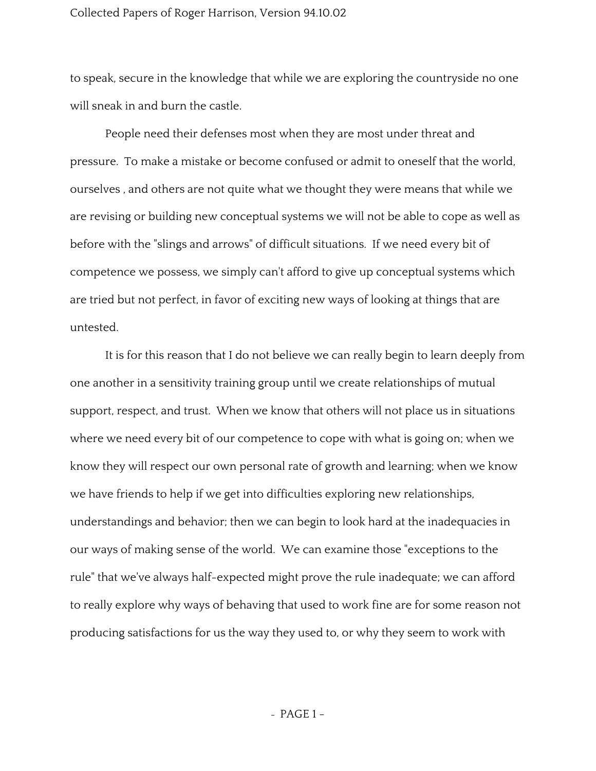to speak, secure in the knowledge that while we are exploring the countryside no one will sneak in and burn the castle.

People need their defenses most when they are most under threat and pressure. To make a mistake or become confused or admit to oneself that the world, ourselves , and others are not quite what we thought they were means that while we are revising or building new conceptual systems we will not be able to cope as well as before with the "slings and arrows" of difficult situations. If we need every bit of competence we possess, we simply can't afford to give up conceptual systems which are tried but not perfect, in favor of exciting new ways of looking at things that are untested.

It is for this reason that I do not believe we can really begin to learn deeply from one another in a sensitivity training group until we create relationships of mutual support, respect, and trust. When we know that others will not place us in situations where we need every bit of our competence to cope with what is going on; when we know they will respect our own personal rate of growth and learning; when we know we have friends to help if we get into difficulties exploring new relationships, understandings and behavior; then we can begin to look hard at the inadequacies in our ways of making sense of the world. We can examine those "exceptions to the rule" that we've always half-expected might prove the rule inadequate; we can afford to really explore why ways of behaving that used to work fine are for some reason not producing satisfactions for us the way they used to, or why they seem to work with